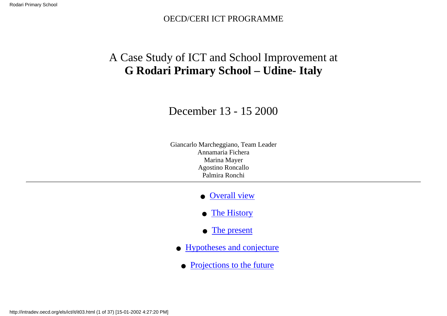### OECD/CERI ICT PROGRAMME

# <span id="page-0-0"></span>A Case Study of ICT and School Improvement at **G Rodari Primary School – Udine- Italy**

# December 13 - 15 2000

Giancarlo Marcheggiano, Team Leader Annamaria Fichera Marina Mayer Agostino Roncallo Palmira Ronchi

- [Overall view](#page-1-0)
- [The History](#page-4-0)
- [The present](#page-6-0)
- [Hypotheses and conjecture](#page-12-0)
- [Projections to the future](#page-14-0)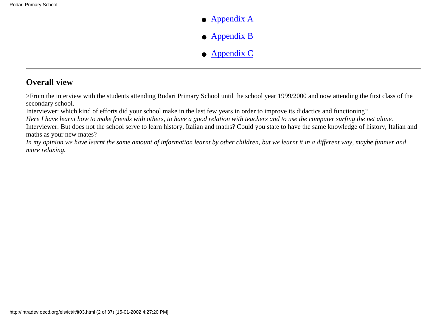- [Appendix A](#page-14-1)
- [Appendix B](#page-17-0)
- [Appendix C](#page-34-0)

## <span id="page-1-0"></span>**Overall view**

>From the interview with the students attending Rodari Primary School until the school year 1999/2000 and now attending the first class of the secondary school.

Interviewer: which kind of efforts did your school make in the last few years in order to improve its didactics and functioning?

*Here I have learnt how to make friends with others, to have a good relation with teachers and to use the computer surfing the net alone.* Interviewer: But does not the school serve to learn history, Italian and maths? Could you state to have the same knowledge of history, Italian and maths as your new mates?

*In my opinion we have learnt the same amount of information learnt by other children, but we learnt it in a different way, maybe funnier and more relaxing.*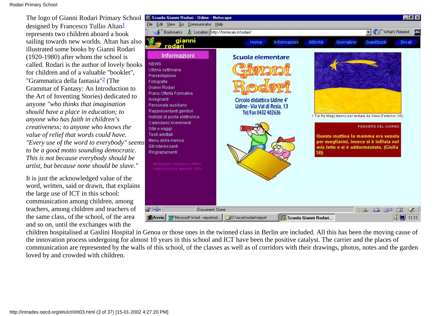<span id="page-2-1"></span><span id="page-2-0"></span>The logo of Gianni Rodari Primary School designed by Francesco Tullio Altan<sup>1</sup> represents two children aboard a book sailing towards new worlds. Altan has also illustrated some books by Gianni Rodari (1920-1980) after whom the school is called. Rodari is the author of lovely books for children and of a valuable "booklet", "Grammatica della fantasia"[2](#page-35-1) (The Grammar of Fantasy: An Introduction to the Art of Inventing Stories) dedicated to anyone *"who thinks that imagination should have a place in education; to anyone who has faith in children's creativeness; to anyone who knows the value of relief that words could have. "Every use of the word to everybody" seems to be a good motto sounding democratic. This is not because everybody should be artist, but because none should be slave."*

It is just the acknowledged value of the word, written, said or drawn, that explains the large use of ICT in this school: communication among children, among teachers, among children and teachers of the same class, of the school, of the area and so on, until the exchanges with the



children hospitalised at Gaslini Hospital in Genoa or those ones in the twinned class in Berlin are included. All this has been the moving cause of the innovation process undergoing for almost 10 years in this school and ICT have been the positive catalyst. The carrier and the places of communication are represented by the walls of this school, of the classes as well as of corridors with their drawings, photos, notes and the garden loved by and crowded with children.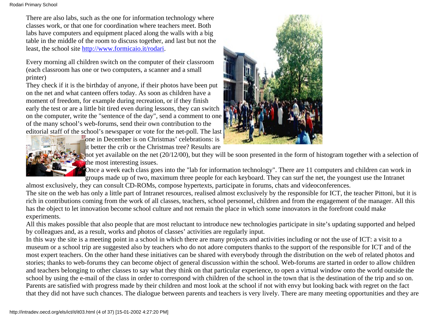There are also labs, such as the one for information technology where classes work, or that one for coordination where teachers meet. Both labs have computers and equipment placed along the walls with a big table in the middle of the room to discuss together, and last but not the least, the school site<http://www.formicaio.it/rodari>.

Every morning all children switch on the computer of their classroom (each classroom has one or two computers, a scanner and a small printer)

They check if it is the birthday of anyone, if their photos have been put on the net and what canteen offers today. As soon as children have a moment of freedom, for example during recreation, or if they finish early the test or are a little bit tired even during lessons, they can switch on the computer, write the "sentence of the day", send a comment to one of the many school's web-forums, send their own contribution to the editorial staff of the school's newspaper or vote for the net-poll. The last

one in December is on Christmas' celebrations: is it better the crib or the Christmas tree? Results are





not yet available on the net  $(20/12/00)$ , but they will be soon presented in the form of histogram together with a selection of the most interesting issues.

Once a week each class goes into the "lab for information technology". There are 11 computers and children can work in groups made up of two, maximum three people for each keyboard. They can surf the net, the youngest use the Intranet

almost exclusively, they can consult CD-ROMs, compose hypertexts, participate in forums, chats and videoconferences.

The site on the web has only a little part of Intranet resources, realised almost exclusively by the responsible for ICT, the teacher Pittoni, but it is rich in contributions coming from the work of all classes, teachers, school personnel, children and from the engagement of the manager. All this has the object to let innovation become school culture and not remain the place in which some innovators in the forefront could make experiments.

All this makes possible that also people that are most reluctant to introduce new technologies participate in site's updating supported and helped by colleagues and, as a result, works and photos of classes' activities are regularly input.

In this way the site is a meeting point in a school in which there are many projects and activities including or not the use of ICT: a visit to a museum or a school trip are suggested also by teachers who do not adore computers thanks to the support of the responsible for ICT and of the most expert teachers. On the other hand these initiatives can be shared with everybody through the distribution on the web of related photos and stories; thanks to web-forums they can become object of general discussion within the school. Web-forums are started in order to allow children and teachers belonging to other classes to say what they think on that particular experience, to open a virtual window onto the world outside the school by using the e-mail of the class in order to correspond with children of the school in the town that is the destination of the trip and so on. Parents are satisfied with progress made by their children and most look at the school if not with envy but looking back with regret on the fact that they did not have such chances. The dialogue between parents and teachers is very lively. There are many meeting opportunities and they are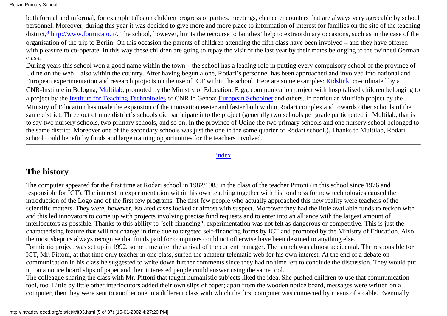<span id="page-4-1"></span>both formal and informal, for example talks on children progress or parties, meetings, chance encounters that are always very agreeable by school personnel. Moreover, during this year it was decided to give more and more place to information of interest for families on the site of the teaching district, $\frac{3}{2}$  [http://www.formicaio.it/.](http://www.formicaio.it/) The school, however, limits the recourse to families' help to extraordinary occasions, such as in the case of the organisation of the trip to Berlin. On this occasion the parents of children attending the fifth class have been involved – and they have offered with pleasure to co-operate. In this way these children are going to repay the visit of the last year by their mates belonging to the twinned German class.

During years this school won a good name within the town – the school has a leading role in putting every compulsory school of the province of Udine on the web – also within the country. After having begun alone, Rodari's personnel has been approached and involved into national and European experimentation and research projects on the use of ICT within the school. Here are some examples: [Kidslink,](http://kidslink.bo.cnr.it/) co-ordinated by a CNR-Institute in Bologna; [Multilab,](http://webscuola.tin.it/multilab) promoted by the Ministry of Education; Elga, communication project with hospitalised children belonging to a project by the [Institute for Teaching Technologies](http://www.itd.ge.cnr.it/) of CNR in Genoa; [European Schoolnet](http://www.enis.eun.org/) and others. In particular Multilab project by the Ministry of Education has made the expansion of the innovation easier and faster both within Rodari complex and towards other schools of the same district. Three out of nine district's schools did participate into the project (generally two schools per grade participated in Multilab, that is to say two nursery schools, two primary schools, and so on. In the province of Udine the two primary schools and one nursery school belonged to the same district. Moreover one of the secondary schools was just the one in the same quarter of Rodari school.). Thanks to Multilab, Rodari school could benefit by funds and large training opportunities for the teachers involved.

#### [index](#page-0-0)

### <span id="page-4-0"></span>**The history**

The computer appeared for the first time at Rodari school in 1982/1983 in the class of the teacher Pittoni (in this school since 1976 and responsible for ICT). The interest in experimentation within his own teaching together with his fondness for new technologies caused the introduction of the Logo and of the first few programs. The first few people who actually approached this new reality were teachers of the scientific matters. They were, however, isolated cases looked at almost with suspect. Moreover they had the little available funds to reckon with and this led innovators to come up with projects involving precise fund requests and to enter into an alliance with the largest amount of interlocutors as possible. Thanks to this ability to "self-financing", experimentation was not felt as dangerous or competitive. This is just the characterising feature that will not change in time due to targeted self-financing forms by ICT and promoted by the Ministry of Education. Also the most skeptics always recognise that funds paid for computers could not otherwise have been destined to anything else. Formicaio project was set up in 1992, some time after the arrival of the current manager. The launch was almost accidental. The responsible for ICT, Mr. Pittoni, at that time only teacher in one class, surfed the amateur telematic web for his own interest. At the end of a debate on communication in his class he suggested to write down further comments since they had no time left to conclude the discussion. They would put up on a notice board slips of paper and then interested people could answer using the same tool. The colleague sharing the class with Mr. Pittoni that taught humanistic subjects liked the idea. She pushed children to use that communication

tool, too. Little by little other interlocutors added their own slips of paper; apart from the wooden notice board, messages were written on a computer, then they were sent to another one in a different class with which the first computer was connected by means of a cable. Eventually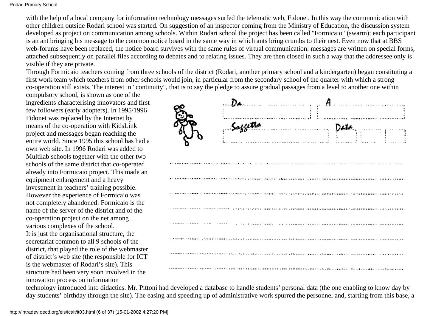with the help of a local company for information technology messages surfed the telematic web, Fidonet. In this way the communication with other children outside Rodari school was started. On suggestion of an inspector coming from the Ministry of Education, the discussion system developed as project on communication among schools. Within Rodari school the project has been called "Formicaio" (swarm): each participant is an ant bringing his message to the common notice board in the same way in which ants bring crumbs to their nest. Even now that at BBS web-forums have been replaced, the notice board survives with the same rules of virtual communication: messages are written on special forms, attached subsequently on parallel files according to debates and to relating issues. They are then closed in such a way that the addressee only is visible if they are private.

Through Formicaio teachers coming from three schools of the district (Rodari, another primary school and a kindergarten) began constituting a first work team which teachers from other schools would join, in particular from the secondary school of the quarter with which a strong co-operation still exists. The interest in "continuity", that is to say the pledge to assure gradual passages from a level to another one within

compulsory school, is shown as one of the ingredients characterising innovators and first few followers (early adopters). In 1995/1996 Fidonet was replaced by the Internet by means of the co-operation with KidsLink project and messages began reaching the entire world. Since 1995 this school has had a own web site. In 1996 Rodari was added to Multilab schools together with the other two schools of the same district that co-operated already into Formicaio project. This made an equipment enlargement and a heavy investment in teachers' training possible. However the experience of Formicaio was not completely abandoned: Formicaio is the name of the server of the district and of the co-operation project on the net among various complexes of the school. It is just the organisational structure, the secretariat common to all 9 schools of the district, that played the role of the webmaster of district's web site (the responsible for ICT is the webmaster of Rodari's site). This

structure had been very soon involved in the innovation process on information



technology introduced into didactics. Mr. Pittoni had developed a database to handle students' personal data (the one enabling to know day by day students' birthday through the site). The easing and speeding up of administrative work spurred the personnel and, starting from this base, a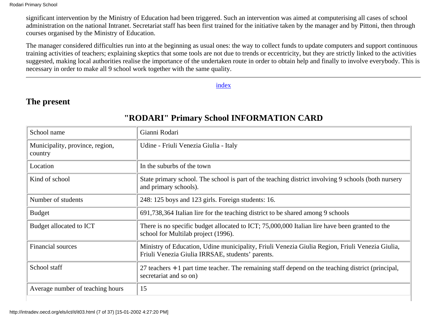significant intervention by the Ministry of Education had been triggered. Such an intervention was aimed at computerising all cases of school administration on the national Intranet. Secretariat staff has been first trained for the initiative taken by the manager and by Pittoni, then through courses organised by the Ministry of Education.

The manager considered difficulties run into at the beginning as usual ones: the way to collect funds to update computers and support continuous training activities of teachers; explaining skeptics that some tools are not due to trends or eccentricity, but they are strictly linked to the activities suggested, making local authorities realise the importance of the undertaken route in order to obtain help and finally to involve everybody. This is necessary in order to make all 9 school work together with the same quality.

[index](#page-0-0)

### <span id="page-6-0"></span>**The present**

| School name                                | Gianni Rodari                                                                                                                                       |
|--------------------------------------------|-----------------------------------------------------------------------------------------------------------------------------------------------------|
| Municipality, province, region,<br>country | Udine - Friuli Venezia Giulia - Italy                                                                                                               |
| Location                                   | In the suburbs of the town                                                                                                                          |
| Kind of school                             | State primary school. The school is part of the teaching district involving 9 schools (both nursery<br>and primary schools).                        |
| Number of students                         | 248: 125 boys and 123 girls. Foreign students: 16.                                                                                                  |
| <b>Budget</b>                              | 691,738,364 Italian lire for the teaching district to be shared among 9 schools                                                                     |
| Budget allocated to ICT                    | There is no specific budget allocated to ICT; 75,000,000 Italian lire have been granted to the<br>school for Multilab project (1996).               |
| <b>Financial sources</b>                   | Ministry of Education, Udine municipality, Friuli Venezia Giulia Region, Friuli Venezia Giulia,<br>Friuli Venezia Giulia IRRSAE, students' parents. |
| School staff                               | 27 teachers $+1$ part time teacher. The remaining staff depend on the teaching district (principal,<br>secretariat and so on)                       |
| Average number of teaching hours           | 15                                                                                                                                                  |

### **"RODARI" Primary School INFORMATION CARD**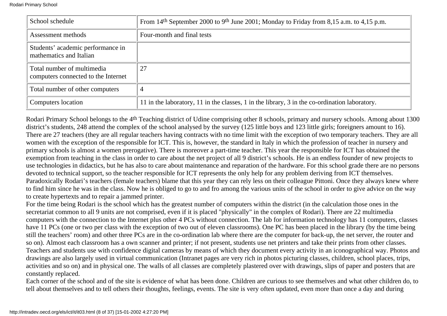| School schedule                                                   | From 14 <sup>th</sup> September 2000 to 9 <sup>th</sup> June 2001; Monday to Friday from 8,15 a.m. to 4,15 p.m. |  |
|-------------------------------------------------------------------|-----------------------------------------------------------------------------------------------------------------|--|
| Assessment methods                                                | Four-month and final tests                                                                                      |  |
| Students' academic performance in<br>mathematics and Italian      |                                                                                                                 |  |
| Total number of multimedia<br>computers connected to the Internet | 27                                                                                                              |  |
| Total number of other computers                                   | 4                                                                                                               |  |
| Computers location                                                | 11 in the laboratory, 11 in the classes, 1 in the library, 3 in the co-ordination laboratory.                   |  |

Rodari Primary School belongs to the 4th Teaching district of Udine comprising other 8 schools, primary and nursery schools. Among about 1300 district's students, 248 attend the complex of the school analysed by the survey (125 little boys and 123 little girls; foreigners amount to 16). There are 27 teachers (they are all regular teachers having contracts with no time limit with the exception of two temporary teachers. They are all women with the exception of the responsible for ICT. This is, however, the standard in Italy in which the profession of teacher in nursery and primary schools is almost a women prerogative). There is moreover a part-time teacher. This year the responsible for ICT has obtained the exemption from teaching in the class in order to care about the net project of all 9 district's schools. He is an endless founder of new projects to use technologies in didactics, but he has also to care about maintenance and reparation of the hardware. For this school grade there are no persons devoted to technical support, so the teacher responsible for ICT represents the only help for any problem deriving from ICT themselves. Paradoxically Rodari's teachers (female teachers) blame that this year they can rely less on their colleague Pittoni. Once they always knew where to find him since he was in the class. Now he is obliged to go to and fro among the various units of the school in order to give advice on the way to create hypertexts and to repair a jammed printer.

For the time being Rodari is the school which has the greatest number of computers within the district (in the calculation those ones in the secretariat common to all 9 units are not comprised, even if it is placed "physically" in the complex of Rodari). There are 22 multimedia computers with the connection to the Internet plus other 4 PCs without connection. The lab for information technology has 11 computers, classes have 11 PCs (one or two per class with the exception of two out of eleven classrooms). One PC has been placed in the library (by the time being still the teachers' room) and other three PCs are in the co-ordination lab where there are the computer for back-up, the net server, the router and so on). Almost each classroom has a own scanner and printer; if not present, students use net printers and take their prints from other classes. Teachers and students use with confidence digital cameras by means of which they document every activity in an iconographical way. Photos and drawings are also largely used in virtual communication (Intranet pages are very rich in photos picturing classes, children, school places, trips, activities and so on) and in physical one. The walls of all classes are completely plastered over with drawings, slips of paper and posters that are constantly replaced.

Each corner of the school and of the site is evidence of what has been done. Children are curious to see themselves and what other children do, to tell about themselves and to tell others their thoughts, feelings, events. The site is very often updated, even more than once a day and during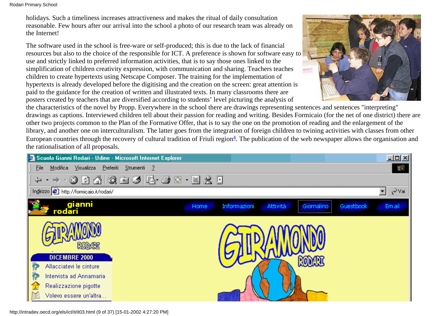holidays. Such a timeliness increases attractiveness and makes the ritual of daily consultation reasonable. Few hours after our arrival into the school a photo of our research team was already on the Internet!

The software used in the school is free-ware or self-produced; this is due to the lack of financial resources but also to the choice of the responsible for ICT. A preference is shown for software easy to use and strictly linked to preferred information activities, that is to say those ones linked to the simplification of children creativity expression, with communication and sharing. Teachers teaches children to create hypertexts using Netscape Composer. The training for the implementation of hypertexts is already developed before the digitising and the creation on the screen: great attention is paid to the guidance for the creation of written and illustrated texts. In many classrooms there are posters created by teachers that are diversified according to students' level picturing the analysis of



<span id="page-8-0"></span>the characteristics of the novel by Propp. Everywhere in the school there are drawings representing sentences and sentences "interpreting" drawings as captions. Interviewed children tell about their passion for reading and writing. Besides Formicaio (for the net of one district) there are other two projects common to the Plan of the Formative Offer, that is to say the one on the promotion of reading and the enlargement of the library, and another one on interculturalism. The latter goes from the integration of foreign children to twining activities with classes from other European countries through the recovery of cultural tradition of Friuli region $\frac{4}{5}$ . The publication of the web newspaper allows the organisation and the rationalisation of all proposals.



http://intradev.oecd.org/els/ict/it/it03.html (9 of 37) [15-01-2002 4:27:20 PM]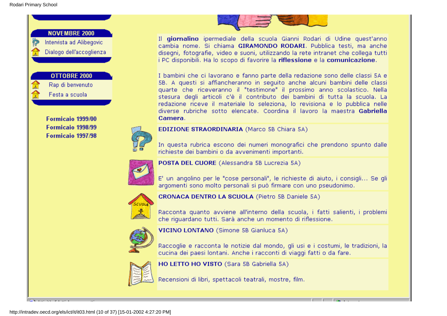

Formicaio 1999/00 Formicaio 1998/99 Formicaio 1997/98



Camera.

**EDIZIONE STRAORDINARIA (Marco 5B Chiara 5A)** 

In questa rubrica escono dei numeri monografici che prendono spunto dalle richieste dei bambini o da avvenimenti importanti.

Il giornalino ipermediale della scuola Gianni Rodari di Udine quest'anno

cambia nome. Si chiama GIRAMONDO RODARI. Pubblica testi, ma anche

disegni, fotografie, video e suoni, utilizzando la rete intranet che collega tutti i PC disponibili. Ha lo scopo di favorire la riflessione e la comunicazione.

I bambini che ci lavorano e fanno parte della redazione sono delle classi SA e 5B. A questi si affiancheranno in sequito anche alcuni bambini delle classi

quarte che riceveranno il "testimone" il prossimo anno scolastico. Nella

stesura degli articoli c'è il contributo dei bambini di tutta la scuola. La redazione riceve il materiale lo seleziona, lo revisiona e lo pubblica nelle diverse rubriche sotto elencate. Coordina il lavoro la maestra Gabriella



POSTA DEL CUORE (Alessandra 5B Lucrezia 5A)

E' un angolino per le "cose personali", le richieste di aiuto, i consigli... Se gli argomenti sono molto personali si può firmare con uno pseudonimo.



**CRONACA DENTRO LA SCUOLA (Pietro 5B Daniele 5A)** 

Racconta quanto avviene all'interno della scuola, i fatti salienti, i problemi che riquardano tutti. Sarà anche un momento di riflessione.



VICINO LONTANO (Simone 5B Gianluca 5A)

Raccoglie e racconta le notizie dal mondo, gli usi e i costumi, le tradizioni, la cucina dei paesi lontani. Anche i racconti di viaggi fatti o da fare.



HO LETTO HO VISTO (Sara 5B Gabriella 5A)

Recensioni di libri, spettacoli teatrali, mostre, film.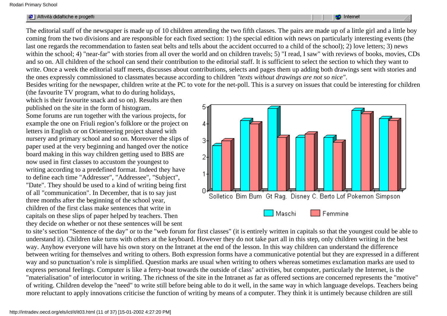| and the first party<br>14 L<br>Attività didattiche e progetti | <b>Internet</b> |
|---------------------------------------------------------------|-----------------|
|                                                               |                 |

The editorial staff of the newspaper is made up of 10 children attending the two fifth classes. The pairs are made up of a little girl and a little boy coming from the two divisions and are responsible for each fixed section: 1) the special edition with news on particularly interesting events (the last one regards the recommendation to fasten seat belts and tells about the accident occurred to a child of the school); 2) love letters; 3) news within the school; 4) "near-far" with stories from all over the world and on children travels; 5) "I read, I saw" with reviews of books, movies, CDs and so on. All children of the school can send their contribution to the editorial staff. It is sufficient to select the section to which they want to write. Once a week the editorial staff meets, discusses about contributions, selects and pages them up adding both drawings sent with stories and the ones expressly commissioned to classmates because according to children *"texts without drawings are not so nice"*.

Besides writing for the newspaper, children write at the PC to vote for the net-poll. This is a survey on issues that could be interesting for children

(the favourite TV program, what to do during holidays, which is their favourite snack and so on). Results are then published on the site in the form of histogram.

Some forums are run together with the various projects, for example the one on Friuli region's folklore or the project on letters in English or on Orienteering project shared with nursery and primary school and so on. Moreover the slips of paper used at the very beginning and hanged over the notice board making in this way children getting used to BBS are now used in first classes to accustom the youngest to writing according to a predefined format. Indeed they have to define each time "Addresser", "Addressee", "Subject", "Date". They should be used to a kind of writing being first of all "communication". In December, that is to say just three months after the beginning of the school year, children of the first class make sentences that write in capitals on these slips of paper helped by teachers. Then they decide on whether or not these sentences will be sent



to site's section "Sentence of the day" or to the "web forum for first classes" (it is entirely written in capitals so that the youngest could be able to understand it). Children take turns with others at the keyboard. However they do not take part all in this step, only children writing in the best way. Anyhow everyone will have his own story on the Intranet at the end of the lesson. In this way children can understand the difference between writing for themselves and writing to others. Both expression forms have a communicative potential but they are expressed in a different way and so punctuation's role is simplified. Question marks are usual when writing to others whereas sometimes exclamation marks are used to express personal feelings. Computer is like a ferry-boat towards the outside of class' activities, but computer, particularly the Internet, is the "materialisation" of interlocutor in writing. The richness of the site in the Intranet as far as offered sections are concerned represents the "motive" of writing. Children develop the "need" to write still before being able to do it well, in the same way in which language develops. Teachers being more reluctant to apply innovations criticise the function of writing by means of a computer. They think it is untimely because children are still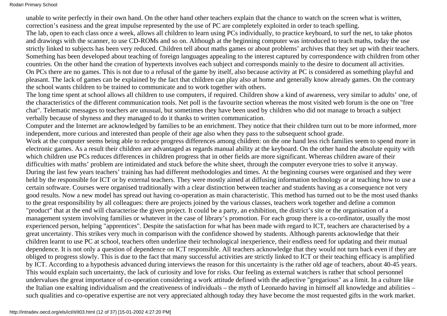unable to write perfectly in their own hand. On the other hand other teachers explain that the chance to watch on the screen what is written, correction's easiness and the great impulse represented by the use of PC are completely exploited in order to teach spelling. The lab, open to each class once a week, allows all children to learn using PCs individually, to practice keyboard, to surf the net, to take photos and drawings with the scanner, to use CD-ROMs and so on. Although at the beginning computer was introduced to teach maths, today the use strictly linked to subjects has been very reduced. Children tell about maths games or about problems' archives that they set up with their teachers. Something has been developed about teaching of foreign languages appealing to the interest captured by correspondence with children from other countries. On the other hand the creation of hypertexts involves each subject and corresponds mainly to the desire to document all activities. On PCs there are no games. This is not due to a refusal of the game by itself, also because activity at PC is considered as something playful and pleasant. The lack of games can be explained by the fact that children can play also at home and generally know already games. On the contrary the school wants children to be trained to communicate and to work together with others.

The long time spent at school allows all children to use computers, if required. Children show a kind of awareness, very similar to adults' one, of the characteristics of the different communication tools. Net poll is the favourite section whereas the most visited web forum is the one on "free chat". Telematic messages to teachers are unusual, but sometimes they have been used by children who did not manage to broach a subject verbally because of shyness and they managed to do it thanks to written communication.

Computer and the Internet are acknowledged by families to be an enrichment. They notice that their children turn out to be more informed, more independent, more curious and interested than people of their age also when they pass to the subsequent school grade.

Work at the computer seems being able to reduce progress differences among children: on the one hand less rich families seem to spend more in electronic games. As a result their children are advantaged as regards manual ability at the keyboard. On the other hand the absolute equity with which children use PCs reduces differences in children progress that in other fields are more significant. Whereas children aware of their difficulties with maths' problem are intimidated and stuck before the white sheet, through the computer everyone tries to solve it anyway. During the last few years teachers' training has had different methodologies and times. At the beginning courses were organised and they were held by the responsible for ICT or by external teachers. They were mostly aimed at diffusing information technology or at teaching how to use a certain software. Courses were organised traditionally with a clear distinction between teacher and students having as a consequence not very good results. Now a new model has spread out having co-operation as main characteristic. This method has turned out to be the most used thanks to the great responsibility by all colleagues: there are projects joined by the various classes, teachers work together and define a common "product" that at the end will characterise the given project. It could be a party, an exhibition, the district's site or the organisation of a management system involving families or whatever in the case of library's promotion. For each group there is a co-ordinator, usually the most experienced person, helping "apprentices". Despite the satisfaction for what has been made with regard to ICT, teachers are characterised by a great uncertainty. This strikes very much in comparison with the confidence showed by students. Although parents acknowledge that their children learnt to use PC at school, teachers often underline their technological inexperience, their endless need for updating and their mutual dependence. It is not only a question of dependence on ICT responsible. All teachers acknowledge that they would not turn back even if they are obliged to progress slowly. This is due to the fact that many successful activities are strictly linked to ICT or their teaching efficacy is amplified by ICT. According to a hypothesis advanced during interviews the reason for this uncertainty is the rather old age of teachers, about 40-45 years. This would explain such uncertainty, the lack of curiosity and love for risks. Our feeling as external watchers is rather that school personnel undervalues the great importance of co-operation considering a work attitude defined with the adjective "gregarious" as a limit. In a culture like the Italian one exalting individualism and the creativeness of individuals – the myth of Leonardo having in himself all knowledge and abilities – such qualities and co-operative expertise are not very appreciated although today they have become the most requested gifts in the work market.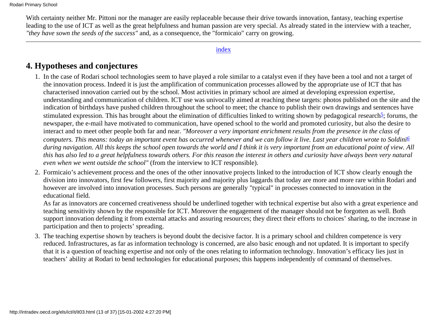With certainty neither Mr. Pittoni nor the manager are easily replaceable because their drive towards innovation, fantasy, teaching expertise leading to the use of ICT as well as the great helpfulness and human passion are very special. As already stated in the interview with a teacher, *"they have sown the seeds of the success"* and, as a consequence, the "formicaio" carry on growing.

### [index](#page-0-0)

### <span id="page-12-0"></span>**4. Hypotheses and conjectures**

- <span id="page-12-1"></span>In the case of Rodari school technologies seem to have played a role similar to a catalyst even if they have been a tool and not a target of 1. the innovation process. Indeed it is just the amplification of communication processes allowed by the appropriate use of ICT that has characterised innovation carried out by the school. Most activities in primary school are aimed at developing expression expertise, understanding and communication of children. ICT use was univocally aimed at reaching these targets: photos published on the site and the indication of birthdays have pushed children throughout the school to meet; the chance to publish their own drawings and sentences have stimulated expression. This has brought about the elimination of difficulties linked to writing shown by pedagogical research<sup>5</sup>; forums, the newspaper, the e-mail have motivated to communication, have opened school to the world and promoted curiosity, but also the desire to interact and to meet other people both far and near. *"Moreover a very important enrichment results from the presence in the class of computers. This means: today an important event has occurred whenever and we can follow it live. Last year children wrote to Soldin[i6](#page-36-0) during navigation. All this keeps the school open towards the world and I think it is very important from an educational point of view. All this has also led to a great helpfulness towards others. For this reason the interest in others and curiosity have always been very natural even when we went outside the school"* (from the interview to ICT responsible).
- <span id="page-12-2"></span>Formicaio's achievement process and the ones of the other innovative projects linked to the introduction of ICT show clearly enough the 2. division into innovators, first few followers, first majority and majority plus laggards that today are more and more rare within Rodari and however are involved into innovation processes. Such persons are generally "typical" in processes connected to innovation in the educational field.

As far as innovators are concerned creativeness should be underlined together with technical expertise but also with a great experience and teaching sensitivity shown by the responsible for ICT. Moreover the engagement of the manager should not be forgotten as well. Both support innovation defending it from external attacks and assuring resources; they direct their efforts to choices' sharing, to the increase in participation and then to projects' spreading.

The teaching expertise shown by teachers is beyond doubt the decisive factor. It is a primary school and children competence is very 3. reduced. Infrastructures, as far as information technology is concerned, are also basic enough and not updated. It is important to specify that it is a question of teaching expertise and not only of the ones relating to information technology. Innovation's efficacy lies just in teachers' ability at Rodari to bend technologies for educational purposes; this happens independently of command of themselves.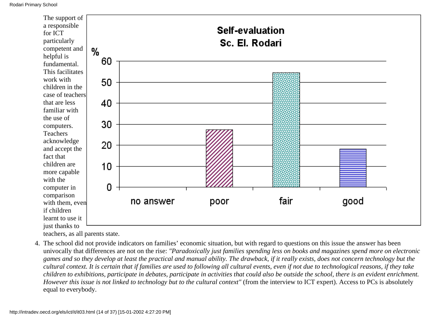

teachers, as all parents state.

The school did not provide indicators on families' economic situation, but with regard to questions on this issue the answer has been 4. univocally that differences are not on the rise: *"Paradoxically just families spending less on books and magazines spend more on electronic games and so they develop at least the practical and manual ability. The drawback, if it really exists, does not concern technology but the cultural context. It is certain that if families are used to following all cultural events, even if not due to technological reasons, if they take children to exhibitions, participate in debates, participate in activities that could also be outside the school, there is an evident enrichment. However this issue is not linked to technology but to the cultural context"* (from the interview to ICT expert). Access to PCs is absolutely equal to everybody.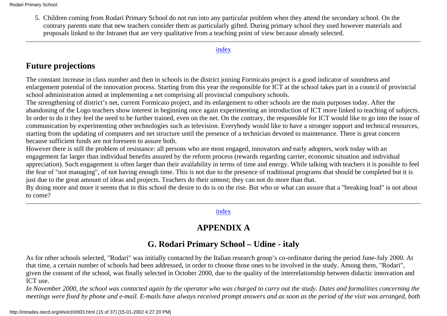5. Children coming from Rodari Primary School do not run into any particular problem when they attend the secondary school. On the contrary parents state that new teachers consider them as particularly gifted. During primary school they used however materials and proposals linked to the Intranet that are very qualitative from a teaching point of view because already selected.

#### [index](#page-0-0)

# <span id="page-14-0"></span>**Future projections**

The constant increase in class number and then in schools in the district joining Formicaio project is a good indicator of soundness and enlargement potential of the innovation process. Starting from this year the responsible for ICT at the school takes part in a council of provincial school administration aimed at implementing a net comprising all provincial compulsory schools.

The strengthening of district's net, current Formicaio project, and its enlargement to other schools are the main purposes today. After the abandoning of the Logo teachers show interest in beginning once again experimenting an introduction of ICT more linked to teaching of subjects. In order to do it they feel the need to be further trained, even on the net. On the contrary, the responsible for ICT would like to go into the issue of communication by experimenting other technologies such as television. Everybody would like to have a stronger support and technical resources, starting from the updating of computers and net structure until the presence of a technician devoted to maintenance. There is great concern because sufficient funds are not foreseen to assure both.

However there is still the problem of resistance: all persons who are most engaged, innovators and early adopters, work today with an engagement far larger than individual benefits assured by the reform process (rewards regarding carrier, economic situation and individual appreciation). Such engagement is often larger than their availability in terms of time and energy. While talking with teachers it is possible to feel the fear of "not managing", of not having enough time. This is not due to the presence of traditional programs that should be completed but it is just due to the great amount of ideas and projects. Teachers do their utmost; they can not do more than that.

<span id="page-14-1"></span>By doing more and more it seems that in this school the desire to do is on the rise. But who or what can assure that a "breaking load" is not about to come?

### [index](#page-0-0)

# **APPENDIX A**

## **G. Rodari Primary School – Udine - italy**

As for other schools selected, "Rodari" was initially contacted by the Italian research group's co-ordinator during the period June-July 2000. At that time, a certain number of schools had been addressed, in order to choose those ones to be involved in the study. Among them, "Rodari", given the consent of the school, was finally selected in October 2000, due to the quality of the interrelationship between didactic innovation and ICT use.

*In November 2000, the school was contacted again by the operator who was charged to carry out the study. Dates and formalities concerning the meetings were fixed by phone and e-mail. E-mails have always received prompt answers and as soon as the period of the visit was arranged, both*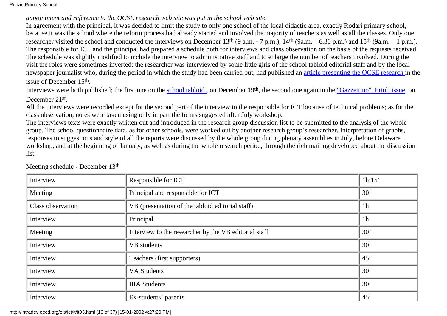### *appointment and reference to the OCSE research web site was put in the school web site.*

In agreement with the principal, it was decided to limit the study to only one school of the local didactic area, exactly Rodari primary school, because it was the school where the reform process had already started and involved the majority of teachers as well as all the classes. Only one researcher visited the school and conducted the interviews on December 13<sup>th</sup> (9 a.m. - 7 p.m.),  $14<sup>th</sup>$  (9a.m. – 6.30 p.m.) and 15<sup>th</sup> (9a.m. – 1 p.m.). The responsible for ICT and the principal had prepared a schedule both for interviews and class observation on the basis of the requests received. The schedule was slightly modified to include the interview to administrative staff and to enlarge the number of teachers involved. During the visit the roles were sometimes inverted: the researcher was interviewed by some little girls of the school tabloid editorial staff and by the local newspaper journalist who, during the period in which the study had been carried out, had published an [article presenting the OCSE research](http://www.gazzettino.it/VisualizzaArticolo.php3?Codice=524544&Luogo=Friuli&Data=2000-12-15&Pagina=5&Hilights=rodari) in the issue of December 15th.

Interviews were both published; the first one on the school tabloid, on December 19<sup>th</sup>, the second one again in the ["Gazzettino", Friuli issue,](http://www.gazzettino.it/VisualizzaArticolo.php3?Codice=531628&Luogo=Friuli&Data=2000-12-21&Pagina=7&Hilights=rodari)) on December 21st.

All the interviews were recorded except for the second part of the interview to the responsible for ICT because of technical problems; as for the class observation, notes were taken using only in part the forms suggested after July workshop.

The interviews texts were exactly written out and introduced in the research group discussion list to be submitted to the analysis of the whole group. The school questionnaire data, as for other schools, were worked out by another research group's researcher. Interpretation of graphs, responses to suggestions and style of all the reports were discussed by the whole group during plenary assemblies in July, before Delaware workshop, and at the beginning of January, as well as during the whole research period, through the rich mailing developed about the discussion list.

| Interview         | Responsible for ICT                                   | 1h:15'         |
|-------------------|-------------------------------------------------------|----------------|
| Meeting           | Principal and responsible for ICT                     | 30'            |
| Class observation | VB (presentation of the tabloid editorial staff)      | 1 <sub>h</sub> |
| Interview         | Principal                                             | 1 <sub>h</sub> |
| Meeting           | Interview to the researcher by the VB editorial staff | 30'            |
| Interview         | VB students                                           | 30'            |
| Interview         | Teachers (first supporters)                           | 45'            |
| Interview         | <b>VA Students</b>                                    | 30'            |
| Interview         | <b>IIIA</b> Students                                  | 30'            |
| Interview         | Ex-students' parents                                  | 45'            |

Meeting schedule - December 13th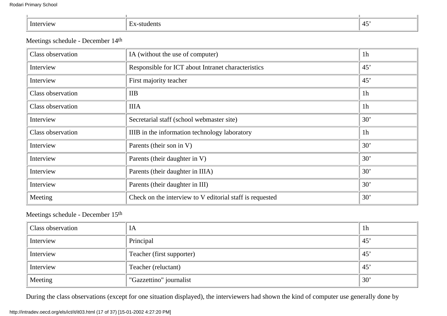| ш | <br>. |
|---|-------|
|   |       |

### Meetings schedule - December 14th

| Class observation        | IA (without the use of computer)                         | 1 <sub>h</sub> |
|--------------------------|----------------------------------------------------------|----------------|
| Interview                | Responsible for ICT about Intranet characteristics       | 45'            |
| Interview                | First majority teacher                                   | 45'            |
| Class observation        | IIB                                                      | 1 <sub>h</sub> |
| Class observation        | <b>IIIA</b>                                              | 1 <sub>h</sub> |
| Interview                | Secretarial staff (school webmaster site)                | 30'            |
| <b>Class observation</b> | IIIB in the information technology laboratory            | 1 <sub>h</sub> |
| Interview                | Parents (their son in V)                                 | 30'            |
| Interview                | Parents (their daughter in V)                            | 30'            |
| Interview                | Parents (their daughter in IIIA)                         | 30'            |
| Interview                | Parents (their daughter in III)                          | 30'            |
| Meeting                  | Check on the interview to V editorial staff is requested | 30'            |

### Meetings schedule - December 15th

| Class observation | IA                        | 1 <sub>h</sub> |
|-------------------|---------------------------|----------------|
| Interview         | Principal                 | 45'            |
| Interview         | Teacher (first supporter) | 45'            |
| Interview         | Teacher (reluctant)       | 45'            |
| Meeting           | "Gazzettino" journalist   | 30'            |

During the class observations (except for one situation displayed), the interviewers had shown the kind of computer use generally done by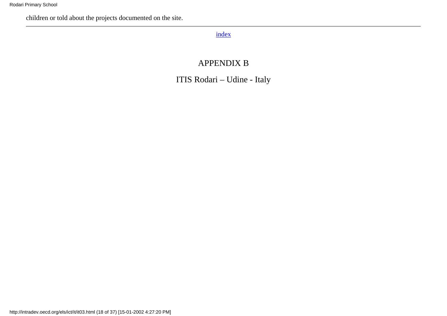<span id="page-17-0"></span>children or told about the projects documented on the site.

### [index](#page-0-0)

# APPENDIX B

ITIS Rodari – Udine - Italy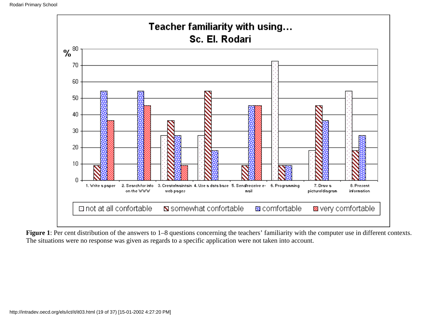

**Figure 1**: Per cent distribution of the answers to 1–8 questions concerning the teachers' familiarity with the computer use in different contexts. The situations were no response was given as regards to a specific application were not taken into account.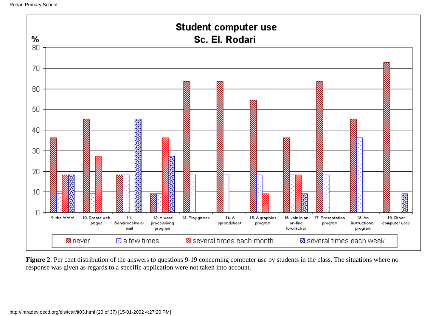

Figure 2: Per cent distribution of the answers to questions 9-19 concerning computer use by students in the class. The situations where no response was given as regards to a specific application were not taken into account.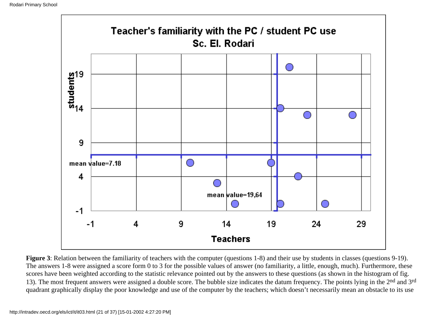

**Figure 3**: Relation between the familiarity of teachers with the computer (questions 1-8) and their use by students in classes (questions 9-19). The answers 1-8 were assigned a score form 0 to 3 for the possible values of answer (no familiarity, a little, enough, much). Furthermore, these scores have been weighted according to the statistic relevance pointed out by the answers to these questions (as shown in the histogram of fig. 13). The most frequent answers were assigned a double score. The bubble size indicates the datum frequency. The points lying in the 2<sup>nd</sup> and 3<sup>rd</sup> quadrant graphically display the poor knowledge and use of the computer by the teachers; which doesn't necessarily mean an obstacle to its use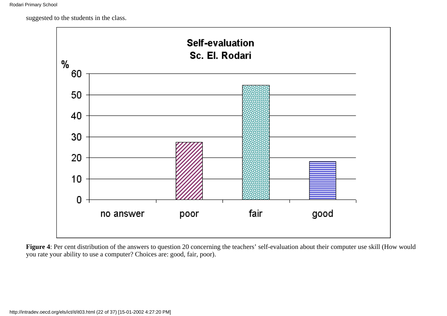suggested to the students in the class.



**Figure 4**: Per cent distribution of the answers to question 20 concerning the teachers' self-evaluation about their computer use skill (How would you rate your ability to use a computer? Choices are: good, fair, poor).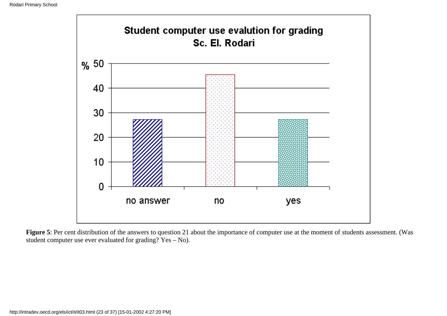

Figure 5: Per cent distribution of the answers to question 21 about the importance of computer use at the moment of students assessment. (Was student computer use ever evaluated for grading? Yes – No).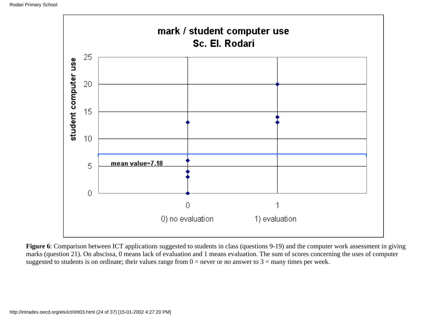

**Figure 6**: Comparison between ICT applications suggested to students in class (questions 9-19) and the computer work assessment in giving marks (question 21). On abscissa, 0 means lack of evaluation and 1 means evaluation. The sum of scores concerning the uses of computer suggested to students is on ordinate; their values range from  $0 =$  never or no answer to  $3 =$  many times per week.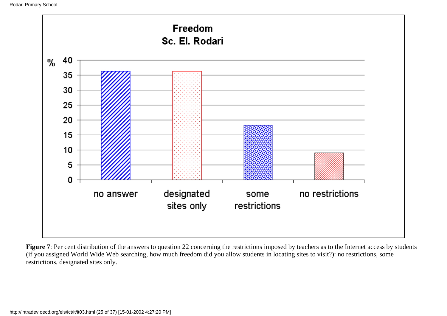

Figure 7: Per cent distribution of the answers to question 22 concerning the restrictions imposed by teachers as to the Internet access by students (if you assigned World Wide Web searching, how much freedom did you allow students in locating sites to visit?): no restrictions, some restrictions, designated sites only.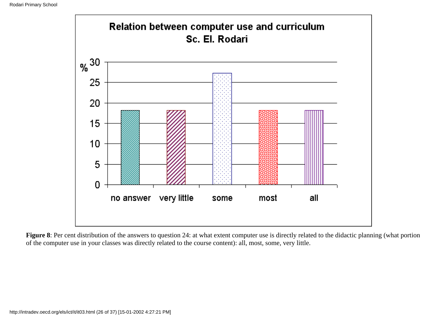

**Figure 8**: Per cent distribution of the answers to question 24: at what extent computer use is directly related to the didactic planning (what portion of the computer use in your classes was directly related to the course content): all, most, some, very little.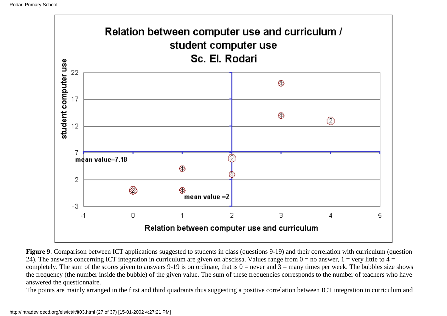

**Figure 9**: Comparison between ICT applications suggested to students in class (questions 9-19) and their correlation with curriculum (question 24). The answers concerning ICT integration in curriculum are given on abscissa. Values range from  $0 =$  no answer,  $1 =$  very little to  $4 =$ completely. The sum of the scores given to answers 9-19 is on ordinate, that is  $0 =$  never and  $3 =$  many times per week. The bubbles size shows the frequency (the number inside the bubble) of the given value. The sum of these frequencies corresponds to the number of teachers who have answered the questionnaire.

The points are mainly arranged in the first and third quadrants thus suggesting a positive correlation between ICT integration in curriculum and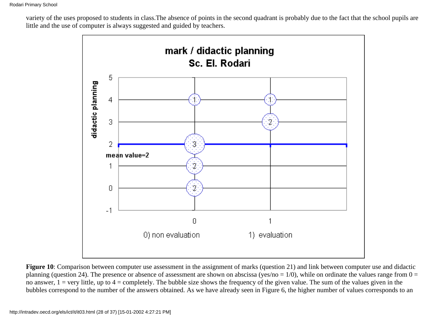variety of the uses proposed to students in class.The absence of points in the second quadrant is probably due to the fact that the school pupils are little and the use of computer is always suggested and guided by teachers.



**Figure 10**: Comparison between computer use assessment in the assignment of marks (question 21) and link between computer use and didactic planning (question 24). The presence or absence of assessment are shown on abscissa (yes/no =  $1/0$ ), while on ordinate the values range from  $0 =$ no answer,  $1 = \text{very little, up to } 4 = \text{completely.}$  The bubble size shows the frequency of the given value. The sum of the values given in the bubbles correspond to the number of the answers obtained. As we have already seen in Figure 6, the higher number of values corresponds to an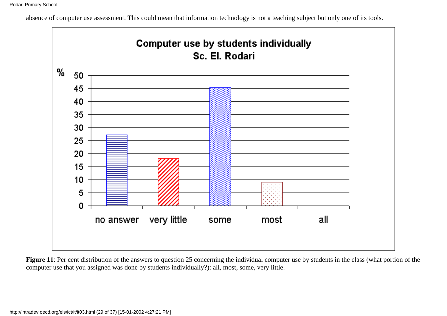absence of computer use assessment. This could mean that information technology is not a teaching subject but only one of its tools.



Figure 11: Per cent distribution of the answers to question 25 concerning the individual computer use by students in the class (what portion of the computer use that you assigned was done by students individually?): all, most, some, very little.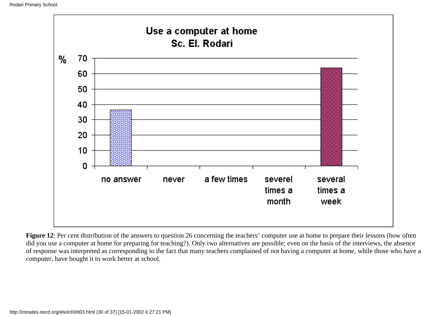

**Figure 12**: Per cent distribution of the answers to question 26 concerning the teachers' computer use at home to prepare their lessons (how often did you use a computer at home for preparing for teaching?). Only two alternatives are possible; even on the basis of the interviews, the absence of response was interpreted as corresponding to the fact that many teachers complained of not having a computer at home, while those who have a computer, have bought it to work better at school.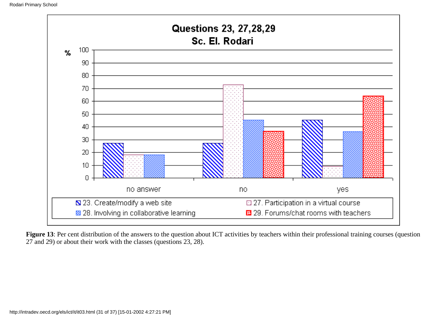

**Figure 13**: Per cent distribution of the answers to the question about ICT activities by teachers within their professional training courses (question 27 and 29) or about their work with the classes (questions 23, 28).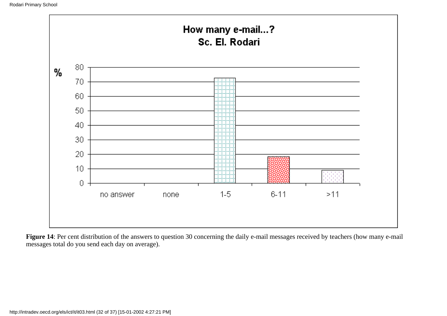

Figure 14: Per cent distribution of the answers to question 30 concerning the daily e-mail messages received by teachers (how many e-mail messages total do you send each day on average).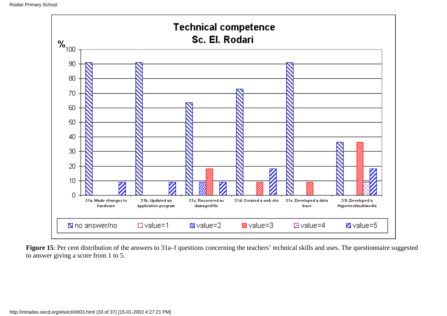

**Figure 15**: Per cent distribution of the answers to 31a–f questions concerning the teachers' technical skills and uses. The questionnaire suggested to answer giving a score from 1 to 5.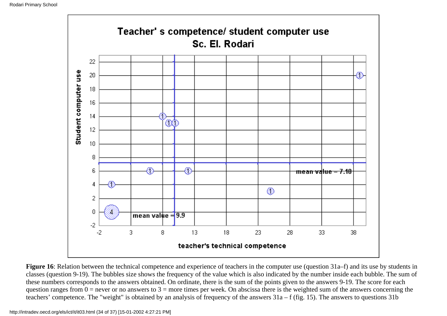

**Figure 16**: Relation between the technical competence and experience of teachers in the computer use (question 31a–f) and its use by students in classes (question 9-19). The bubbles size shows the frequency of the value which is also indicated by the number inside each bubble. The sum of these numbers corresponds to the answers obtained. On ordinate, there is the sum of the points given to the answers 9-19. The score for each question ranges from  $0 =$  never or no answers to  $3 =$  more times per week. On abscissa there is the weighted sum of the answers concerning the teachers' competence. The "weight" is obtained by an analysis of frequency of the answers 31a – f (fig. 15). The answers to questions 31b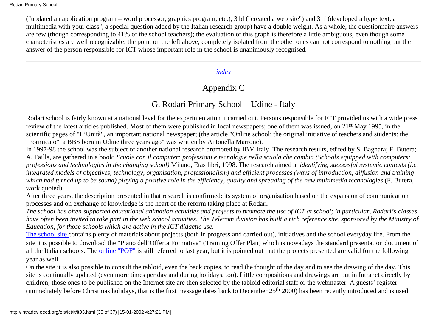("updated an application program – word processor, graphics program, etc.), 31d ("created a web site") and 31f (developed a hypertext, a multimedia with your class", a special question added by the Italian research group) have a double weight. As a whole, the questionnaire answers are few (though corresponding to 41% of the school teachers); the evaluation of this graph is therefore a little ambiguous, even though some characteristics are well recognizable: the point on the left above, completely isolated from the other ones can not correspond to nothing but the answer of the person responsible for ICT whose important role in the school is unanimously recognised*.*

### *[index](#page-0-0)*

# Appendix C

# G. Rodari Primary School – Udine - Italy

<span id="page-34-0"></span>Rodari school is fairly known at a national level for the experimentation it carried out. Persons responsible for ICT provided us with a wide press review of the latest articles published. Most of them were published in local newspapers; one of them was issued, on 21st May 1995, in the scientific pages of "L'Unità", an important national newspaper; (the article "Online school: the original initiative of teachers and students: the "Formicaio", a BBS born in Udine three years ago" was written by Antonella Marrone).

In 1997-98 the school was the subject of another national research promoted by IBM Italy. The research results, edited by S. Bagnara; F. Butera; A. Failla, are gathered in a book: *Scuole con il computer: professioni e tecnologie nella scuola che cambia (Schools equipped with computers: professions and technologies in the changing school)* Milano, Etas libri, 1998. The research aimed at *identifying successful systemic contexts (i.e. integrated models of objectives, technology, organisation, professionalism) and efficient processes (ways of introduction, diffusion and training which had turned up to be sound) playing a positive role in the efficiency, quality and spreading of the new multimedia technologies* (F. Butera, work quoted).

After three years, the description presented in that research is confirmed: its system of organisation based on the expansion of communication processes and on exchange of knowledge is the heart of the reform taking place at Rodari.

*The school has often supported educational animation activities and projects to promote the use of ICT at school; in particular, Rodari's classes have often been invited to take part in the web school activities. The Telecom division has built a rich reference site, sponsored by the Ministry of Education, for those schools which are active in the ICT didactic use.*

[The school site](http://www.formicaio.it/rodari) contains plenty of materials about projects (both in progress and carried out), initiatives and the school everyday life. From the site it is possible to download the "Piano dell'Offerta Formativa" (Training Offer Plan) which is nowadays the standard presentation document of all the Italian schools. The [online "POF"](http://www.formicaio.it/rodari/info/pof99.html) is still referred to last year, but it is pointed out that the projects presented are valid for the following year as well.

On the site it is also possible to consult the tabloid, even the back copies, to read the thought of the day and to see the drawing of the day. This site is continually updated (even more times per day and during holidays, too). Little compositions and drawings are put in Intranet directly by children; those ones to be published on the Internet site are then selected by the tabloid editorial staff or the webmaster. A guests' register (immediately before Christmas holidays, that is the first message dates back to December 25th 2000) has been recently introduced and is used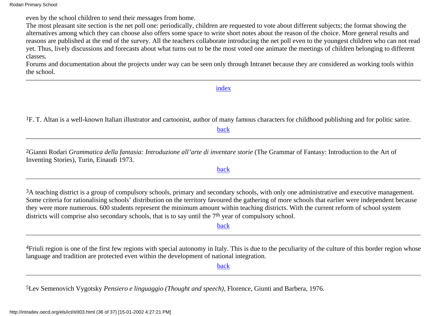even by the school children to send their messages from home.

The most pleasant site section is the net poll one: periodically, children are requested to vote about different subjects; the format showing the alternatives among which they can choose also offers some space to write short notes about the reason of the choice. More general results and reasons are published at the end of the survey. All the teachers collaborate introducing the net poll even to the youngest children who can not read yet. Thus, lively discussions and forecasts about what turns out to be the most voted one animate the meetings of children belonging to different classes.

Forums and documentation about the projects under way can be seen only through Intranet because they are considered as working tools within the school.

#### [index](#page-0-0)

<span id="page-35-0"></span><sup>1</sup>F. T. Altan is a well-known Italian illustrator and cartoonist, author of many famous characters for childhood publishing and for politic satire.

[back](#page-2-0)

<span id="page-35-1"></span>2Gianni Rodari *Grammatica della fantasia: Introduzione all'arte di inventare storie* (The Grammar of Fantasy: Introduction to the Art of Inventing Stories), Turin, Einaudi 1973.

#### [back](#page-2-1)

<span id="page-35-2"></span><sup>3</sup>A teaching district is a group of compulsory schools, primary and secondary schools, with only one administrative and executive management. Some criteria for rationalising schools' distribution on the territory favoured the gathering of more schools that earlier were independent because they were more numerous. 600 students represent the minimum amount within teaching districts. With the current reform of school system districts will comprise also secondary schools, that is to say until the 7<sup>th</sup> year of compulsory school.

[back](#page-4-1)

<span id="page-35-3"></span>4Friuli region is one of the first few regions with special autonomy in Italy. This is due to the peculiarity of the culture of this border region whose language and tradition are protected even within the development of national integration.

[back](#page-8-0)

<span id="page-35-4"></span>5Lev Semenovich Vygotsky *Pensiero e linguaggio (Thought and speech)*, Florence, Giunti and Barbera, 1976.